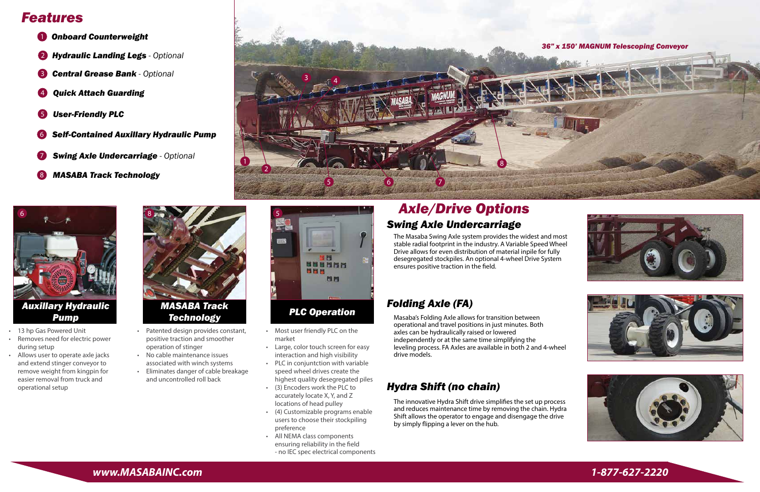- 1 *Onboard Counterweight*
- 2 *Hydraulic Landing Legs - Optional*
- 3 *Central Grease Bank - Optional*
- 4 *Quick Attach Guarding*
- 5 *User-Friendly PLC*
- 6 *Self-Contained Auxillary Hydraulic Pump*
- 7 *Swing Axle Undercarriage - Optional*
- 8 *MASABA Track Technology*

# *Features*





*Auxillary Hydraulic Pump*



*Technology*

## *Axle/Drive Options Swing Axle Undercarriage*

- Most user friendly PLC on the
- market • Large, color touch screen for easy interaction and high visibility
- PLC in conjuntction with variable speed wheel drives create the
- highest quality desegregated piles • (3) Encoders work the PLC to
- accurately locate X, Y, and Z locations of head pulley • (4) Customizable programs enable users to choose their stockpiling
- preference • All NEMA class components ensuring reliability in the field - no IEC spec electrical components



### *Folding Axle (FA)*

#### *Hydra Shift (no chain)*

The Masaba Swing Axle system provides the widest and most stable radial footprint in the industry. A Variable Speed Wheel Drive allows for even distribution of material inpile for fully desegregated stockpiles. An optional 4-wheel Drive System ensures positive traction in the field.

Masaba's Folding Axle allows for transition between operational and travel positions in just minutes. Both axles can be hydraulically raised or lowered independently or at the same time simplifying the leveling process. FA Axles are available in both 2 and 4-wheel drive models.

The innovative Hydra Shift drive simplifies the set up process and reduces maintenance time by removing the chain. Hydra Shift allows the operator to engage and disengage the drive by simply flipping a lever on the hub.

- 13 hp Gas Powered Unit
- Removes need for electric power during setup
- Allows user to operate axle jacks and extend stinger conveyor to remove weight from kingpin for easier removal from truck and operational setup
- Patented design provides constant, positive traction and smoother operation of stinger
- No cable maintenance issues associated with winch systems
- Eliminates danger of cable breakage and uncontrolled roll back